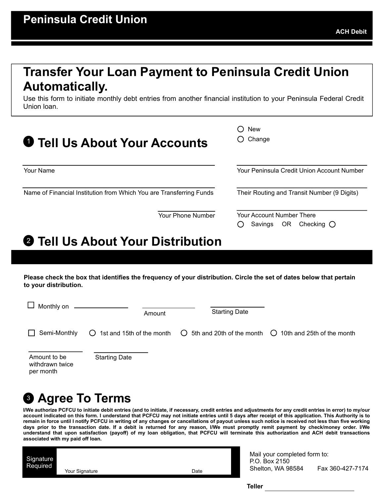## Transfer Your Loan Payment to Peninsula Credit Union Automatically.

Use this form to initiate monthly debt entries from another financial institution to your Peninsula Federal Credit Union loan.

| <b>Tell Us About Your Accounts</b>                                  | <b>New</b><br>Change<br>ັ)                                         |  |
|---------------------------------------------------------------------|--------------------------------------------------------------------|--|
| Your Name                                                           | Your Peninsula Credit Union Account Number                         |  |
| Name of Financial Institution from Which You are Transferring Funds | Their Routing and Transit Number (9 Digits)                        |  |
| Your Phone Number                                                   | Your Account Number There<br>Checking $\bigcirc$<br>OR.<br>Savings |  |

## **2** Tell Us About Your Distribution

| Your Name                                                                                                                                                                                                                                                                                                                                                                                                                                                                                                                                                                                                                                                                                                                                                                                            | Your Peninsula Credit Union Account Number                                             |
|------------------------------------------------------------------------------------------------------------------------------------------------------------------------------------------------------------------------------------------------------------------------------------------------------------------------------------------------------------------------------------------------------------------------------------------------------------------------------------------------------------------------------------------------------------------------------------------------------------------------------------------------------------------------------------------------------------------------------------------------------------------------------------------------------|----------------------------------------------------------------------------------------|
| Name of Financial Institution from Which You are Transferring Funds                                                                                                                                                                                                                                                                                                                                                                                                                                                                                                                                                                                                                                                                                                                                  | Their Routing and Transit Number (9 Digits)                                            |
| Your Phone Number                                                                                                                                                                                                                                                                                                                                                                                                                                                                                                                                                                                                                                                                                                                                                                                    | Your Account Number There<br>Savings<br>OR Checking $\bigcirc$                         |
| <b>@ Tell Us About Your Distribution</b>                                                                                                                                                                                                                                                                                                                                                                                                                                                                                                                                                                                                                                                                                                                                                             |                                                                                        |
|                                                                                                                                                                                                                                                                                                                                                                                                                                                                                                                                                                                                                                                                                                                                                                                                      |                                                                                        |
| Please check the box that identifies the frequency of your distribution. Circle the set of dates below that pertain<br>to your distribution.                                                                                                                                                                                                                                                                                                                                                                                                                                                                                                                                                                                                                                                         |                                                                                        |
| $\Box$ Monthly on                                                                                                                                                                                                                                                                                                                                                                                                                                                                                                                                                                                                                                                                                                                                                                                    |                                                                                        |
| Amount                                                                                                                                                                                                                                                                                                                                                                                                                                                                                                                                                                                                                                                                                                                                                                                               | <b>Starting Date</b>                                                                   |
| $\Box$ Semi-Monthly<br>$\bigcirc$ 1st and 15th of the month                                                                                                                                                                                                                                                                                                                                                                                                                                                                                                                                                                                                                                                                                                                                          | $\bigcirc$ 5th and 20th of the month $\bigcirc$ 10th and 25th of the month             |
| <b>Starting Date</b><br>Amount to be<br>withdrawn twice<br>per month                                                                                                                                                                                                                                                                                                                                                                                                                                                                                                                                                                                                                                                                                                                                 |                                                                                        |
|                                                                                                                                                                                                                                                                                                                                                                                                                                                                                                                                                                                                                                                                                                                                                                                                      |                                                                                        |
| <b>© Agree To Terms</b>                                                                                                                                                                                                                                                                                                                                                                                                                                                                                                                                                                                                                                                                                                                                                                              |                                                                                        |
| I/We authorize PCFCU to initiate debit entries (and to initiate, if necessary, credit entries and adjustments for any credit entries in error) to my/our<br>account indicated on this form. I understand that PCFCU may not initiate entries until 5 days after receipt of this application. This Authority is to<br>remain in force until I notify PCFCU in writing of any changes or cancellations of payout unless such notice is received not less than five working<br>days prior to the transaction date. If a debit is returned for any reason, I/We must promptly remit payment by check/money order. I/We<br>understand that upon satisfaction (payoff) of my loan obligation, that PCFCU will terminate this authorization and ACH debit transactions<br>associated with my paid off loan. |                                                                                        |
| Signature<br>Required<br>Date<br>Your Signature                                                                                                                                                                                                                                                                                                                                                                                                                                                                                                                                                                                                                                                                                                                                                      | Mail your completed form to:<br>P.O. Box 2150<br>Shelton, WA 98584<br>Fax 360-427-7174 |
|                                                                                                                                                                                                                                                                                                                                                                                                                                                                                                                                                                                                                                                                                                                                                                                                      | <b>Teller</b>                                                                          |
|                                                                                                                                                                                                                                                                                                                                                                                                                                                                                                                                                                                                                                                                                                                                                                                                      |                                                                                        |

## <sup>3</sup> Agree To Terms

| Signature<br>Required |                |      |
|-----------------------|----------------|------|
|                       | Your Signature | Date |
|                       |                |      |